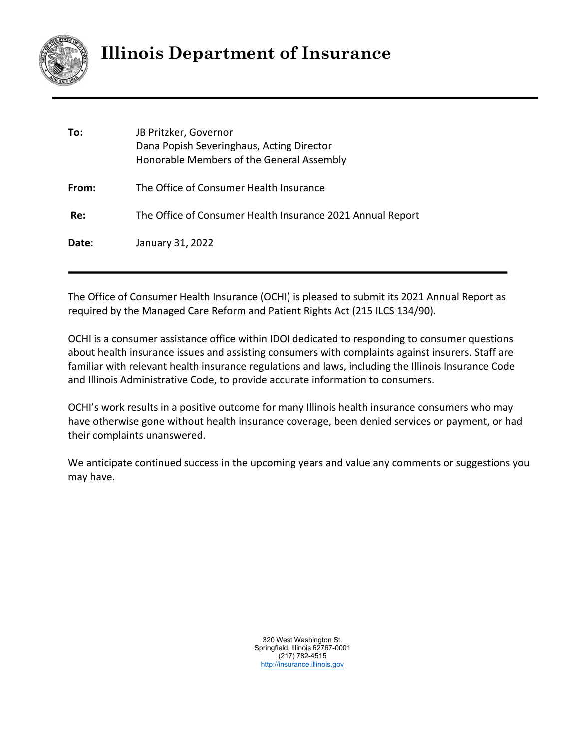

# **Illinois Department of Insurance**

| To:   | JB Pritzker, Governor<br>Dana Popish Severinghaus, Acting Director<br>Honorable Members of the General Assembly |
|-------|-----------------------------------------------------------------------------------------------------------------|
| From: | The Office of Consumer Health Insurance                                                                         |
| Re:   | The Office of Consumer Health Insurance 2021 Annual Report                                                      |
| Date: | January 31, 2022                                                                                                |

The Office of Consumer Health Insurance (OCHI) is pleased to submit its 2021 Annual Report as required by the Managed Care Reform and Patient Rights Act (215 ILCS 134/90).

OCHI is a consumer assistance office within IDOI dedicated to responding to consumer questions about health insurance issues and assisting consumers with complaints against insurers. Staff are familiar with relevant health insurance regulations and laws, including the Illinois Insurance Code and Illinois Administrative Code, to provide accurate information to consumers.

OCHI's work results in a positive outcome for many Illinois health insurance consumers who may have otherwise gone without health insurance coverage, been denied services or payment, or had their complaints unanswered.

We anticipate continued success in the upcoming years and value any comments or suggestions you may have.

> 320 West Washington St. Springfield, Illinois 62767-0001 (217) 782-4515 [http://insurance.illinois.gov](http://insurance.illinois.gov/)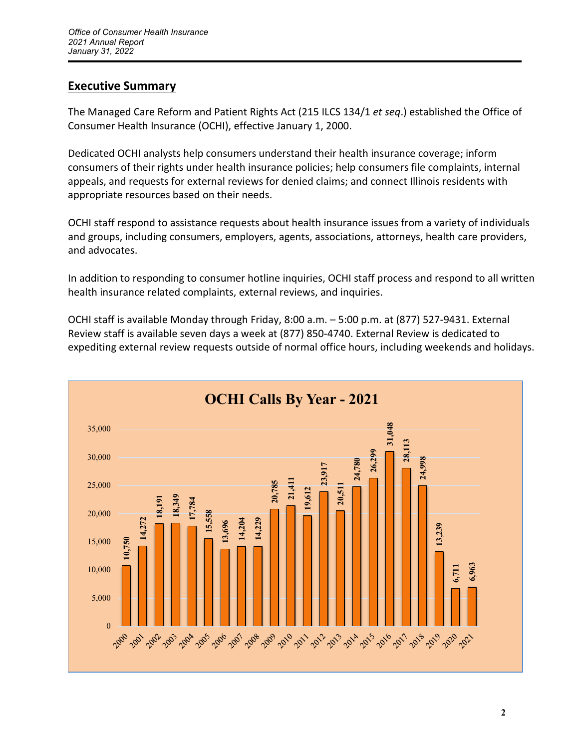# **Executive Summary**

The Managed Care Reform and Patient Rights Act (215 ILCS 134/1 *et seq*.) established the Office of Consumer Health Insurance (OCHI), effective January 1, 2000.

Dedicated OCHI analysts help consumers understand their health insurance coverage; inform consumers of their rights under health insurance policies; help consumers file complaints, internal appeals, and requests for external reviews for denied claims; and connect Illinois residents with appropriate resources based on their needs.

OCHI staff respond to assistance requests about health insurance issues from a variety of individuals and groups, including consumers, employers, agents, associations, attorneys, health care providers, and advocates.

In addition to responding to consumer hotline inquiries, OCHI staff process and respond to all written health insurance related complaints, external reviews, and inquiries.

OCHI staff is available Monday through Friday, 8:00 a.m. – 5:00 p.m. at (877) 527‐9431. External Review staff is available seven days a week at (877) 850‐4740. External Review is dedicated to expediting external review requests outside of normal office hours, including weekends and holidays.

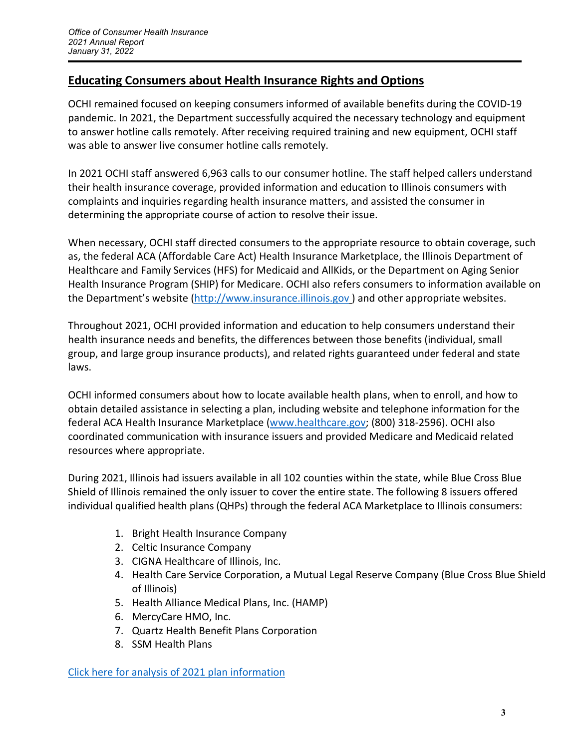# **Educating Consumers about Health Insurance Rights and Options**

OCHI remained focused on keeping consumers informed of available benefits during the COVID-19 pandemic. In 2021, the Department successfully acquired the necessary technology and equipment to answer hotline calls remotely. After receiving required training and new equipment, OCHI staff was able to answer live consumer hotline calls remotely.

In 2021 OCHI staff answered 6,963 calls to our consumer hotline. The staff helped callers understand their health insurance coverage, provided information and education to Illinois consumers with complaints and inquiries regarding health insurance matters, and assisted the consumer in determining the appropriate course of action to resolve their issue.

When necessary, OCHI staff directed consumers to the appropriate resource to obtain coverage, such as, the federal ACA (Affordable Care Act) Health Insurance Marketplace, the Illinois Department of Healthcare and Family Services (HFS) for Medicaid and AllKids, or the Department on Aging Senior Health Insurance Program (SHIP) for Medicare. OCHI also refers consumers to information available on the Department's website [\(http://www.insurance.illinois.gov](http://www.insurance.illinois.gov/) ) and other appropriate websites.

Throughout 2021, OCHI provided information and education to help consumers understand their health insurance needs and benefits, the differences between those benefits (individual, small group, and large group insurance products), and related rights guaranteed under federal and state laws.

OCHI informed consumers about how to locate available health plans, when to enroll, and how to obtain detailed assistance in selecting a plan, including website and telephone information for the federal ACA Health Insurance Marketplace (www.healthcare.gov; (800) 318‐2596). OCHI also coordinated communication with insurance issuers and provided Medicare and Medicaid related resources where appropriate.

During 2021, Illinois had issuers available in all 102 counties within the state, while Blue Cross Blue Shield of Illinois remained the only issuer to cover the entire state. The following 8 issuers offered individual qualified health plans (QHPs) through the federal ACA Marketplace to Illinois consumers:

- 1. Bright Health Insurance Company
- 2. Celtic Insurance Company
- 3. CIGNA Healthcare of Illinois, Inc.
- 4. Health Care Service Corporation, a Mutual Legal Reserve Company (Blue Cross Blue Shield of Illinois)
- 5. Health Alliance Medical Plans, Inc. (HAMP)
- 6. MercyCare HMO, Inc.
- 7. Quartz Health Benefit Plans Corporation
- 8. SSM Health Plans

[Click here for analysis of 2021 plan information](https://www2.illinois.gov/sites/Insurance/companies/Documents/IllinoisExchangePlanAnalysis-2021-English.pdf)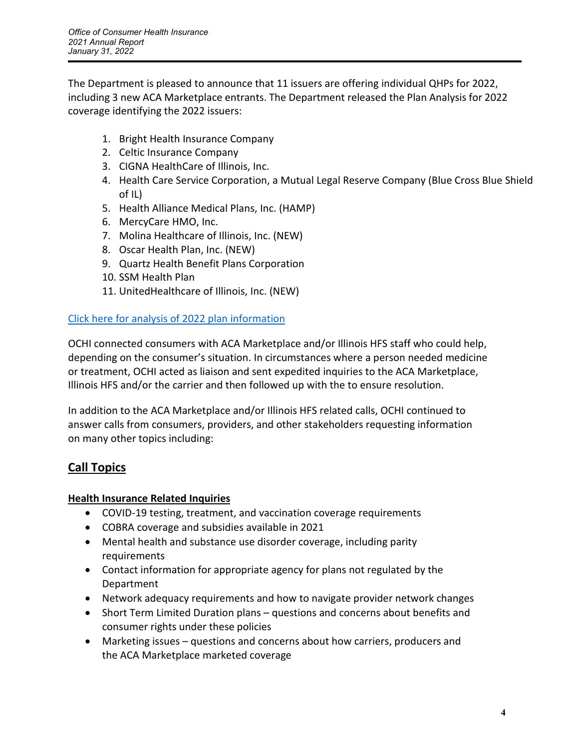The Department is pleased to announce that 11 issuers are offering individual QHPs for 2022, including 3 new ACA Marketplace entrants. The Department released the Plan Analysis for 2022 coverage identifying the 2022 issuers:

- 1. Bright Health Insurance Company
- 2. Celtic Insurance Company
- 3. CIGNA HealthCare of Illinois, Inc.
- 4. Health Care Service Corporation, a Mutual Legal Reserve Company (Blue Cross Blue Shield of IL)
- 5. Health Alliance Medical Plans, Inc. (HAMP)
- 6. MercyCare HMO, Inc.
- 7. Molina Healthcare of Illinois, Inc. (NEW)
- 8. Oscar Health Plan, Inc. (NEW)
- 9. Quartz Health Benefit Plans Corporation
- 10. SSM Health Plan
- 11. UnitedHealthcare of Illinois, Inc. (NEW)

## [Click here for analysis of 2022 plan information](https://www2.illinois.gov/sites/Insurance/Companies/Documents/IllinoisExchangePlanAnalysis-2022-English.pdf)

OCHI connected consumers with ACA Marketplace and/or Illinois HFS staff who could help, depending on the consumer's situation. In circumstances where a person needed medicine or treatment, OCHI acted as liaison and sent expedited inquiries to the ACA Marketplace, Illinois HFS and/or the carrier and then followed up with the to ensure resolution.

In addition to the ACA Marketplace and/or Illinois HFS related calls, OCHI continued to answer calls from consumers, providers, and other stakeholders requesting information on many other topics including:

# **Call Topics**

## **Health Insurance Related Inquiries**

- COVID-19 testing, treatment, and vaccination coverage requirements
- COBRA coverage and subsidies available in 2021
- Mental health and substance use disorder coverage, including parity requirements
- Contact information for appropriate agency for plans not regulated by the Department
- Network adequacy requirements and how to navigate provider network changes
- Short Term Limited Duration plans questions and concerns about benefits and consumer rights under these policies
- Marketing issues questions and concerns about how carriers, producers and the ACA Marketplace marketed coverage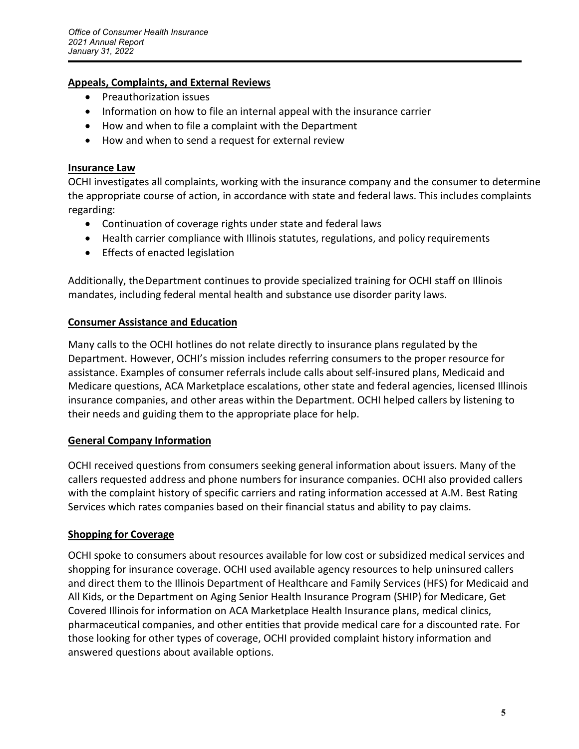### **Appeals, Complaints, and External Reviews**

- Preauthorization issues
- Information on how to file an internal appeal with the insurance carrier
- How and when to file a complaint with the Department
- How and when to send a request for external review

#### **Insurance Law**

OCHI investigates all complaints, working with the insurance company and the consumer to determine the appropriate course of action, in accordance with state and federal laws. This includes complaints regarding:

- Continuation of coverage rights under state and federal laws
- Health carrier compliance with Illinois statutes, regulations, and policy requirements
- Effects of enacted legislation

Additionally, the Department continues to provide specialized training for OCHI staff on Illinois mandates, including federal mental health and substance use disorder parity laws.

#### **Consumer Assistance and Education**

Many calls to the OCHI hotlines do not relate directly to insurance plans regulated by the Department. However, OCHI's mission includes referring consumers to the proper resource for assistance. Examples of consumer referrals include calls about self‐insured plans, Medicaid and Medicare questions, ACA Marketplace escalations, other state and federal agencies, licensed Illinois insurance companies, and other areas within the Department. OCHI helped callers by listening to their needs and guiding them to the appropriate place for help.

#### **General Company Information**

OCHI received questions from consumers seeking general information about issuers. Many of the callers requested address and phone numbers for insurance companies. OCHI also provided callers with the complaint history of specific carriers and rating information accessed at A.M. Best Rating Services which rates companies based on their financial status and ability to pay claims.

#### **Shopping for Coverage**

OCHI spoke to consumers about resources available for low cost or subsidized medical services and shopping for insurance coverage. OCHI used available agency resources to help uninsured callers and direct them to the Illinois Department of Healthcare and Family Services (HFS) for Medicaid and All Kids, or the Department on Aging Senior Health Insurance Program (SHIP) for Medicare, Get Covered Illinois for information on ACA Marketplace Health Insurance plans, medical clinics, pharmaceutical companies, and other entities that provide medical care for a discounted rate. For those looking for other types of coverage, OCHI provided complaint history information and answered questions about available options.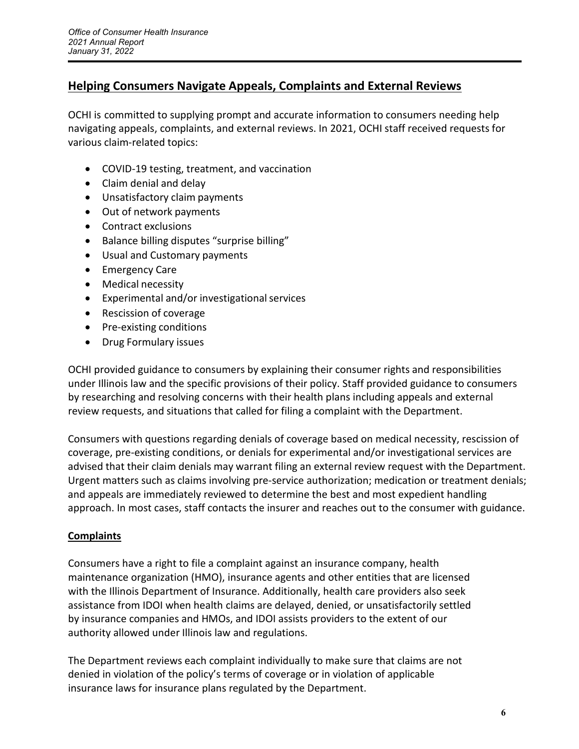## **Helping Consumers Navigate Appeals, Complaints and External Reviews**

OCHI is committed to supplying prompt and accurate information to consumers needing help navigating appeals, complaints, and external reviews. In 2021, OCHI staff received requests for various claim‐related topics:

- COVID‐19 testing, treatment, and vaccination
- Claim denial and delay
- Unsatisfactory claim payments
- Out of network payments
- Contract exclusions
- Balance billing disputes "surprise billing"
- Usual and Customary payments
- Emergency Care
- Medical necessity
- Experimental and/or investigational services
- Rescission of coverage
- Pre-existing conditions
- Drug Formulary issues

OCHI provided guidance to consumers by explaining their consumer rights and responsibilities under Illinois law and the specific provisions of their policy. Staff provided guidance to consumers by researching and resolving concerns with their health plans including appeals and external review requests, and situations that called for filing a complaint with the Department.

Consumers with questions regarding denials of coverage based on medical necessity, rescission of coverage, pre‐existing conditions, or denials for experimental and/or investigational services are advised that their claim denials may warrant filing an external review request with the Department. Urgent matters such as claims involving pre-service authorization; medication or treatment denials; and appeals are immediately reviewed to determine the best and most expedient handling approach. In most cases, staff contacts the insurer and reaches out to the consumer with guidance.

## **Complaints**

Consumers have a right to file a complaint against an insurance company, health maintenance organization (HMO), insurance agents and other entities that are licensed with the Illinois Department of Insurance. Additionally, health care providers also seek assistance from IDOI when health claims are delayed, denied, or unsatisfactorily settled by insurance companies and HMOs, and IDOI assists providers to the extent of our authority allowed under Illinois law and regulations.

The Department reviews each complaint individually to make sure that claims are not denied in violation of the policy's terms of coverage or in violation of applicable insurance laws for insurance plans regulated by the Department.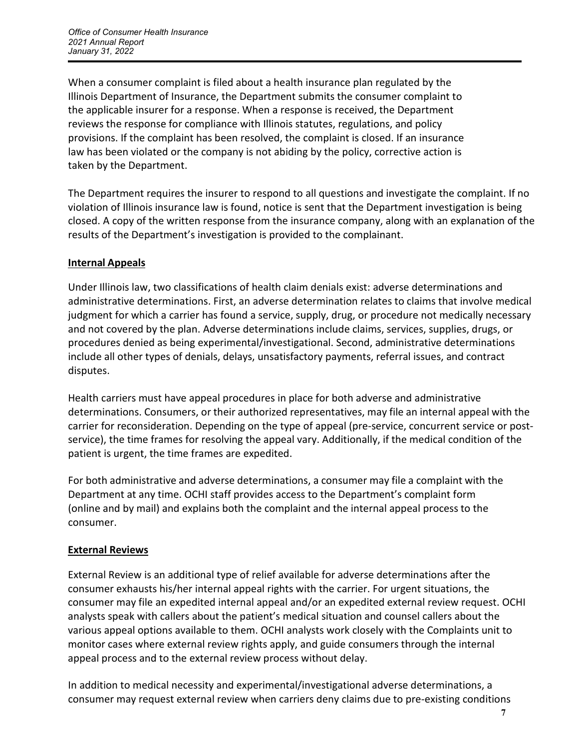When a consumer complaint is filed about a health insurance plan regulated by the Illinois Department of Insurance, the Department submits the consumer complaint to the applicable insurer for a response. When a response is received, the Department reviews the response for compliance with Illinois statutes, regulations, and policy provisions. If the complaint has been resolved, the complaint is closed. If an insurance law has been violated or the company is not abiding by the policy, corrective action is taken by the Department.

The Department requires the insurer to respond to all questions and investigate the complaint. If no violation of Illinois insurance law is found, notice is sent that the Department investigation is being closed. A copy of the written response from the insurance company, along with an explanation of the results of the Department's investigation is provided to the complainant.

## **Internal Appeals**

Under Illinois law, two classifications of health claim denials exist: adverse determinations and administrative determinations. First, an adverse determination relates to claims that involve medical judgment for which a carrier has found a service, supply, drug, or procedure not medically necessary and not covered by the plan. Adverse determinations include claims, services, supplies, drugs, or procedures denied as being experimental/investigational. Second, administrative determinations include all other types of denials, delays, unsatisfactory payments, referral issues, and contract disputes.

Health carriers must have appeal procedures in place for both adverse and administrative determinations. Consumers, or their authorized representatives, may file an internal appeal with the carrier for reconsideration. Depending on the type of appeal (pre‐service, concurrent service or post‐ service), the time frames for resolving the appeal vary. Additionally, if the medical condition of the patient is urgent, the time frames are expedited.

For both administrative and adverse determinations, a consumer may file a complaint with the Department at any time. OCHI staff provides access to the Department's complaint form (online and by mail) and explains both the complaint and the internal appeal process to the consumer.

## **External Reviews**

External Review is an additional type of relief available for adverse determinations after the consumer exhausts his/her internal appeal rights with the carrier. For urgent situations, the consumer may file an expedited internal appeal and/or an expedited external review request. OCHI analysts speak with callers about the patient's medical situation and counsel callers about the various appeal options available to them. OCHI analysts work closely with the Complaints unit to monitor cases where external review rights apply, and guide consumers through the internal appeal process and to the external review process without delay.

In addition to medical necessity and experimental/investigational adverse determinations, a consumer may request external review when carriers deny claims due to pre‐existing conditions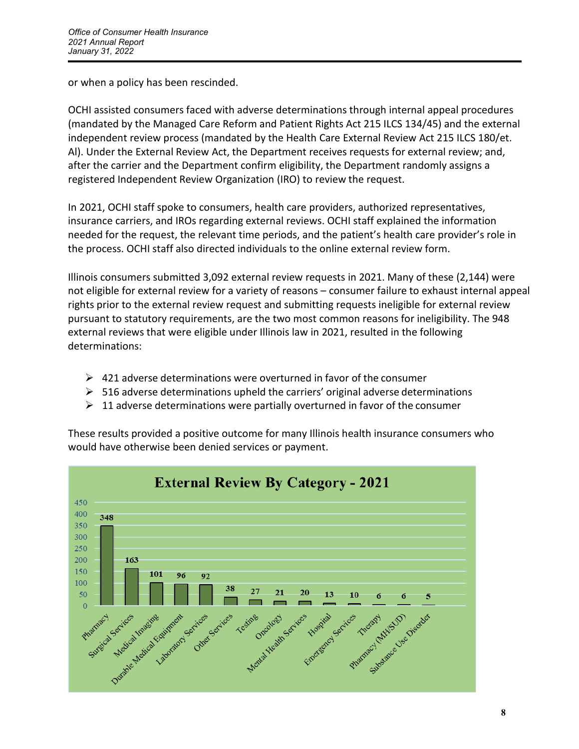or when a policy has been rescinded.

OCHI assisted consumers faced with adverse determinations through internal appeal procedures (mandated by the Managed Care Reform and Patient Rights Act 215 ILCS 134/45) and the external independent review process (mandated by the Health Care External Review Act 215 ILCS 180/et. Al). Under the External Review Act, the Department receives requests for external review; and, after the carrier and the Department confirm eligibility, the Department randomly assigns a registered Independent Review Organization (IRO) to review the request.

In 2021, OCHI staff spoke to consumers, health care providers, authorized representatives, insurance carriers, and IROs regarding external reviews. OCHI staff explained the information needed for the request, the relevant time periods, and the patient's health care provider's role in the process. OCHI staff also directed individuals to the online external review form.

Illinois consumers submitted 3,092 external review requests in 2021. Many of these (2,144) were not eligible for external review for a variety of reasons – consumer failure to exhaust internal appeal rights prior to the external review request and submitting requests ineligible for external review pursuant to statutory requirements, are the two most common reasons for ineligibility. The 948 external reviews that were eligible under Illinois law in 2021, resulted in the following determinations:

- $\triangleright$  421 adverse determinations were overturned in favor of the consumer
- $\triangleright$  516 adverse determinations upheld the carriers' original adverse determinations
- $\geq 11$  adverse determinations were partially overturned in favor of the consumer

These results provided a positive outcome for many Illinois health insurance consumers who would have otherwise been denied services or payment.

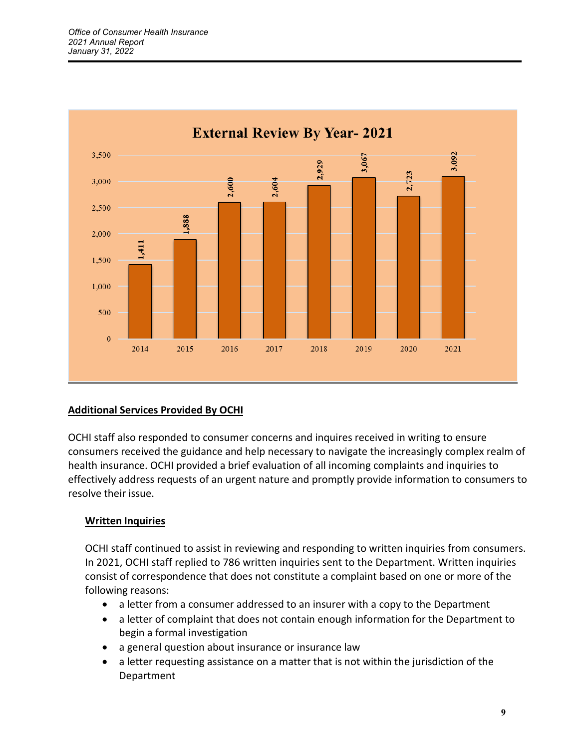

## **Additional Services Provided By OCHI**

OCHI staff also responded to consumer concerns and inquires received in writing to ensure consumers received the guidance and help necessary to navigate the increasingly complex realm of health insurance. OCHI provided a brief evaluation of all incoming complaints and inquiries to effectively address requests of an urgent nature and promptly provide information to consumers to resolve their issue.

## **Written Inquiries**

OCHI staff continued to assist in reviewing and responding to written inquiries from consumers. In 2021, OCHI staff replied to 786 written inquiries sent to the Department. Written inquiries consist of correspondence that does not constitute a complaint based on one or more of the following reasons:

- a letter from a consumer addressed to an insurer with a copy to the Department
- a letter of complaint that does not contain enough information for the Department to begin a formal investigation
- a general question about insurance or insurance law
- a letter requesting assistance on a matter that is not within the jurisdiction of the Department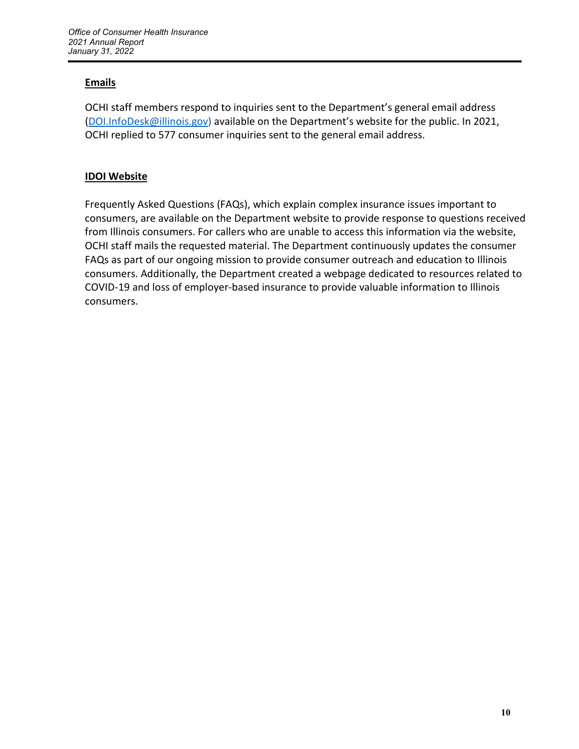## **Emails**

OCHI staff members respond to inquiries sent to the Department's general email address (DOI.InfoDesk@illinois.gov) available on the Department's website for the public. In 2021, OCHI replied to 577 consumer inquiries sent to the general email address.

## **IDOI Website**

Frequently Asked Questions (FAQs), which explain complex insurance issues important to consumers, are available on the Department website to provide response to questions received from Illinois consumers. For callers who are unable to access this information via the website, OCHI staff mails the requested material. The Department continuously updates the consumer FAQs as part of our ongoing mission to provide consumer outreach and education to Illinois consumers. Additionally, the Department created a webpage dedicated to resources related to COVID‐19 and loss of employer‐based insurance to provide valuable information to Illinois consumers.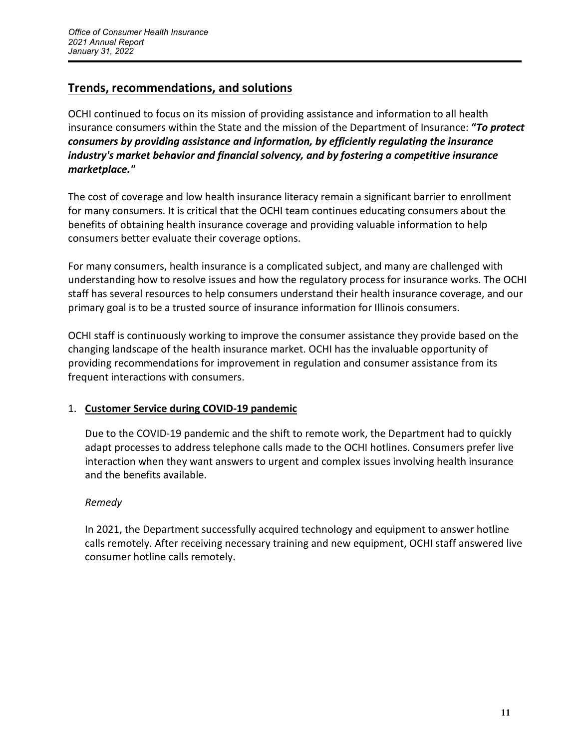# **Trends, recommendations, and solutions**

OCHI continued to focus on its mission of providing assistance and information to all health insurance consumers within the State and the mission of the Department of Insurance: **"***To protect consumers by providing assistance and information, by efficiently regulating the insurance industry's market behavior and financial solvency, and by fostering a competitive insurance marketplace."* 

The cost of coverage and low health insurance literacy remain a significant barrier to enrollment for many consumers. It is critical that the OCHI team continues educating consumers about the benefits of obtaining health insurance coverage and providing valuable information to help consumers better evaluate their coverage options.

For many consumers, health insurance is a complicated subject, and many are challenged with understanding how to resolve issues and how the regulatory process for insurance works. The OCHI staff has several resources to help consumers understand their health insurance coverage, and our primary goal is to be a trusted source of insurance information for Illinois consumers.

OCHI staff is continuously working to improve the consumer assistance they provide based on the changing landscape of the health insurance market. OCHI has the invaluable opportunity of providing recommendations for improvement in regulation and consumer assistance from its frequent interactions with consumers.

## 1. **Customer Service during COVID-19 pandemic**

Due to the COVID‐19 pandemic and the shift to remote work, the Department had to quickly adapt processes to address telephone calls made to the OCHI hotlines. Consumers prefer live interaction when they want answers to urgent and complex issues involving health insurance and the benefits available.

## *Remedy*

In 2021, the Department successfully acquired technology and equipment to answer hotline calls remotely. After receiving necessary training and new equipment, OCHI staff answered live consumer hotline calls remotely.